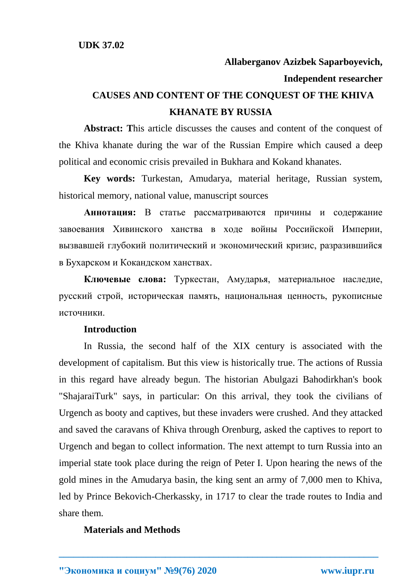## **Allaberganov Azizbek Saparboyevich, Independent researcher**

# **CAUSES AND CONTENT OF THE CONQUEST OF THE KHIVA KHANATE BY RUSSIA**

**Abstract: T**his article discusses the causes and content of the conquest of the Khiva khanate during the war of the Russian Empire which caused a deep political and economic crisis prevailed in Bukhara and Kokand khanates.

**Key words:** Turkestan, Amudarya, material heritage, Russian system, historical memory, national value, manuscript sources

**Аннотация:** В статье рассматриваются причины и содержание завоевания Хивинского ханства в ходе войны Российской Империи, вызвавшей глубокий политический и экономический кризис, разразившийся в Бухарском и Кокандском ханствах.

**Ключевые слова:** Туркестан, Амударья, материальное наследие, русский строй, историческая память, национальная ценность, рукописные источники.

#### **Introduction**

In Russia, the second half of the XIX century is associated with the development of capitalism. But this view is historically true. The actions of Russia in this regard have already begun. The historian Abulgazi Bahodirkhan's book "ShajaraiTurk" says, in particular: On this arrival, they took the civilians of Urgench as booty and captives, but these invaders were crushed. And they attacked and saved the caravans of Khiva through Orenburg, asked the captives to report to Urgench and began to collect information. The next attempt to turn Russia into an imperial state took place during the reign of Peter I. Upon hearing the news of the gold mines in the Amudarya basin, the king sent an army of 7,000 men to Khiva, led by Prince Bekovich-Cherkassky, in 1717 to clear the trade routes to India and share them.

**\_\_\_\_\_\_\_\_\_\_\_\_\_\_\_\_\_\_\_\_\_\_\_\_\_\_\_\_\_\_\_\_\_\_\_\_\_\_\_\_\_\_\_\_\_\_\_\_\_\_\_\_\_\_\_\_\_\_\_\_\_\_\_\_\_\_**

#### **Materials and Methods**

**"Экономика и социум" №9(76) 2020 www.iupr.ru**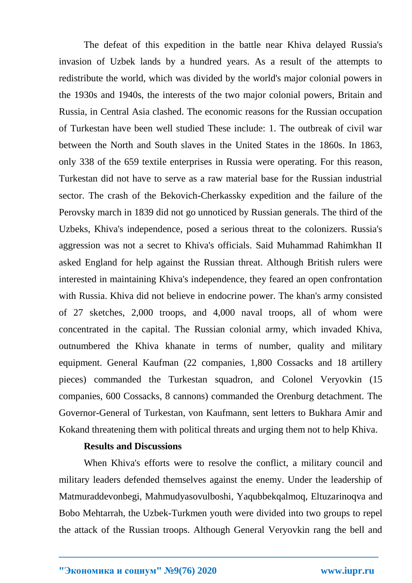The defeat of this expedition in the battle near Khiva delayed Russia's invasion of Uzbek lands by a hundred years. As a result of the attempts to redistribute the world, which was divided by the world's major colonial powers in the 1930s and 1940s, the interests of the two major colonial powers, Britain and Russia, in Central Asia clashed. The economic reasons for the Russian occupation of Turkestan have been well studied These include: 1. The outbreak of civil war between the North and South slaves in the United States in the 1860s. In 1863, only 338 of the 659 textile enterprises in Russia were operating. For this reason, Turkestan did not have to serve as a raw material base for the Russian industrial sector. The crash of the Bekovich-Cherkassky expedition and the failure of the Perovsky march in 1839 did not go unnoticed by Russian generals. The third of the Uzbeks, Khiva's independence, posed a serious threat to the colonizers. Russia's aggression was not a secret to Khiva's officials. Said Muhammad Rahimkhan II asked England for help against the Russian threat. Although British rulers were interested in maintaining Khiva's independence, they feared an open confrontation with Russia. Khiva did not believe in endocrine power. The khan's army consisted of 27 sketches, 2,000 troops, and 4,000 naval troops, all of whom were concentrated in the capital. The Russian colonial army, which invaded Khiva, outnumbered the Khiva khanate in terms of number, quality and military equipment. General Kaufman (22 companies, 1,800 Cossacks and 18 artillery pieces) commanded the Turkestan squadron, and Colonel Veryovkin (15 companies, 600 Cossacks, 8 cannons) commanded the Orenburg detachment. The Governor-General of Turkestan, von Kaufmann, sent letters to Bukhara Amir and Kokand threatening them with political threats and urging them not to help Khiva.

#### **Results and Discussions**

When Khiva's efforts were to resolve the conflict, a military council and military leaders defended themselves against the enemy. Under the leadership of Matmuraddevonbegi, Mahmudyasovulboshi, Yaqubbekqalmoq, Eltuzarinoqva and Bobo Mehtarrah, the Uzbek-Turkmen youth were divided into two groups to repel the attack of the Russian troops. Although General Veryovkin rang the bell and

**\_\_\_\_\_\_\_\_\_\_\_\_\_\_\_\_\_\_\_\_\_\_\_\_\_\_\_\_\_\_\_\_\_\_\_\_\_\_\_\_\_\_\_\_\_\_\_\_\_\_\_\_\_\_\_\_\_\_\_\_\_\_\_\_\_\_**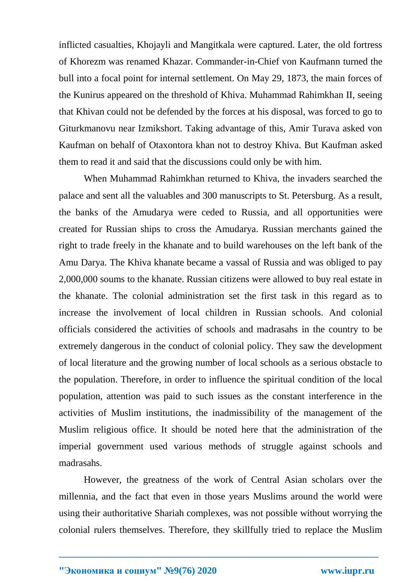inflicted casualties, Khojayli and Mangitkala were captured. Later, the old fortress of Khorezm was renamed Khazar. Commander-in-Chief von Kaufmann turned the bull into a focal point for internal settlement. On May 29, 1873, the main forces of the Kunirus appeared on the threshold of Khiva. Muhammad Rahimkhan II, seeing that Khivan could not be defended by the forces at his disposal, was forced to go to Giturkmanovu near Izmikshort. Taking advantage of this, Amir Turava asked von Kaufman on behalf of Otaxontora khan not to destroy Khiva. But Kaufman asked them to read it and said that the discussions could only be with him.

When Muhammad Rahimkhan returned to Khiva, the invaders searched the palace and sent all the valuables and 300 manuscripts to St. Petersburg. As a result, the banks of the Amudarya were ceded to Russia, and all opportunities were created for Russian ships to cross the Amudarya. Russian merchants gained the right to trade freely in the khanate and to build warehouses on the left bank of the Amu Darya. The Khiva khanate became a vassal of Russia and was obliged to pay 2,000,000 soums to the khanate. Russian citizens were allowed to buy real estate in the khanate. The colonial administration set the first task in this regard as to increase the involvement of local children in Russian schools. And colonial officials considered the activities of schools and madrasahs in the country to be extremely dangerous in the conduct of colonial policy. They saw the development of local literature and the growing number of local schools as a serious obstacle to the population. Therefore, in order to influence the spiritual condition of the local population, attention was paid to such issues as the constant interference in the activities of Muslim institutions, the inadmissibility of the management of the Muslim religious office. It should be noted here that the administration of the imperial government used various methods of struggle against schools and madrasahs.

However, the greatness of the work of Central Asian scholars over the millennia, and the fact that even in those years Muslims around the world were using their authoritative Shariah complexes, was not possible without worrying the colonial rulers themselves. Therefore, they skillfully tried to replace the Muslim

**\_\_\_\_\_\_\_\_\_\_\_\_\_\_\_\_\_\_\_\_\_\_\_\_\_\_\_\_\_\_\_\_\_\_\_\_\_\_\_\_\_\_\_\_\_\_\_\_\_\_\_\_\_\_\_\_\_\_\_\_\_\_\_\_\_\_**